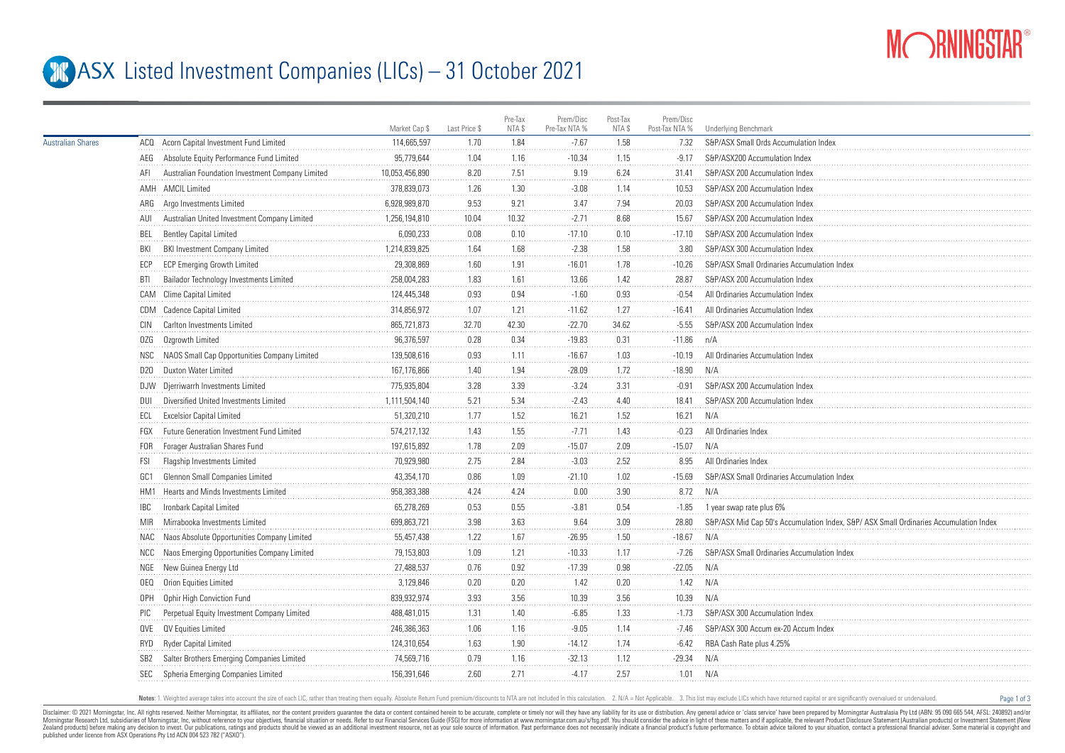

Page 1 of 3

## **ASX** Listed Investment Companies (LICs) – 31 October 2021

|                          |                 |                                                  | Market Cap \$  | Last Price \$ | Pre-Tax<br>NTA \$ | Prem/Disc<br>Pre-Tax NTA % | Post-Tax<br>NTA \$ | Prem/Disc<br>Post-Tax NTA % | <b>Underlying Benchmark</b>                                                          |
|--------------------------|-----------------|--------------------------------------------------|----------------|---------------|-------------------|----------------------------|--------------------|-----------------------------|--------------------------------------------------------------------------------------|
| <b>Australian Shares</b> |                 | ACQ Acorn Capital Investment Fund Limited        | 114,665,597    | 1.70          | 1.84              | $-7.67$                    | 1.58               | 7.32                        | S&P/ASX Small Ords Accumulation Index                                                |
|                          |                 | AEG Absolute Equity Performance Fund Limited     | 95,779,644     | 1.04          | 1.16              | $-10.34$                   | 1.15               | $-9.17$                     | S&P/ASX200 Accumulation Index                                                        |
|                          | AFI             | Australian Foundation Investment Company Limited | 10,053,456,890 | 8.20          | 7.51              | 9.19                       | 6.24               | 31.41                       | S&P/ASX 200 Accumulation Index                                                       |
|                          |                 | AMH AMCIL Limited                                | 378,839,073    | 1.26          | 1.30              | $-3.08$                    | 1.14               | 10.53                       | S&P/ASX 200 Accumulation Index                                                       |
|                          |                 | ARG Argo Investments Limited                     | 6,928,989,870  | 9.53          | 9.21              | 3.47                       | 7.94               | 20.03                       | S&P/ASX 200 Accumulation Index                                                       |
|                          | AUL             | Australian United Investment Company Limited     | 1,256,194,810  | 10.04         | 10.32             | $-2.71$                    | 8.68               | 15.67                       | S&P/ASX 200 Accumulation Index                                                       |
|                          | BEL             | <b>Bentley Capital Limited</b>                   | 6,090,233      | 0.08          | 0.10              | $-17.10$                   | 0.10               | $-17.10$                    | S&P/ASX 200 Accumulation Index                                                       |
|                          | BKI             | <b>BKI Investment Company Limited</b>            | 1,214,839,825  | 1.64          | 1.68              | $-2.38$                    | 1.58               | 3.80                        | S&P/ASX 300 Accumulation Index                                                       |
|                          | ECP             | <b>ECP Emerging Growth Limited</b>               | 29,308,869     | 1.60          | 1.91              | $-16.01$                   | 1.78               | $-10.26$                    | S&P/ASX Small Ordinaries Accumulation Index                                          |
|                          | BTI             | Bailador Technology Investments Limited          | 258,004,283    | 1.83          | 1.61              | 13.66                      | 1.42               | 28.87                       | S&P/ASX 200 Accumulation Index                                                       |
|                          |                 | CAM Clime Capital Limited                        | 124,445,348    | 0.93          | 0.94              | $-1.60$                    | 0.93               | $-0.54$                     | All Ordinaries Accumulation Index                                                    |
|                          |                 | CDM Cadence Capital Limited                      | 314,856,972    | 1.07          | 1.21              | $-11.62$                   | 1.27               | $-16.41$                    | All Ordinaries Accumulation Index                                                    |
|                          | CIN             | Carlton Investments Limited                      | 865,721,873    | 32.70         | 42.30             | $-22.70$                   | 34.62              | $-5.55$                     | S&P/ASX 200 Accumulation Index                                                       |
|                          | 0ZG             | Ozgrowth Limited                                 | 96,376,597     | 0.28          | 0.34              | $-19.83$                   | 0.31               | $-11.86$                    | n/A                                                                                  |
|                          | NSC.            | NAOS Small Cap Opportunities Company Limited     | 139,508,616    | 0.93          | 1.11              | $-16.67$                   | 1.03               | $-10.19$                    | All Ordinaries Accumulation Inde:                                                    |
|                          | D20             | Duxton Water Limited                             | 167,176,866    | 1.40          | 1.94              | $-28.09$                   | 1.72               | $-18.90$                    | N/A                                                                                  |
|                          |                 | DJW Djerriwarrh Investments Limited              | 775,935,804    | 3.28          | 3.39              | $-3.24$                    | 3.31               | $-0.91$                     | S&P/ASX 200 Accumulation Index                                                       |
|                          | <b>DUI</b>      | Diversified United Investments Limited           | 1,111,504,140  | 5.21          | 5.34              | $-2.43$                    | 4.40               | 18.41                       | S&P/ASX 200 Accumulation Index                                                       |
|                          | ECL             | <b>Excelsior Capital Limited</b>                 | 51,320,210     | 1.77          | 1.52              | 16.21                      | 1.52               | 16.21                       | N/A                                                                                  |
|                          | FGX             | Future Generation Investment Fund Limited        | 574,217,132    | 1.43          | 1.55              | $-7.71$                    | 1.43               | $-0.23$                     | All Ordinaries Index                                                                 |
|                          | FOR             | Forager Australian Shares Fund                   | 197,615,892    | 1.78          | 2.09              | $-15.07$                   | 2.09               | $-15.07$                    | N/A                                                                                  |
|                          | FSI             | Flagship Investments Limited                     | 70,929,980     | 2.75          | 2.84              | $-3.03$                    | 2.52               | 8.95                        | All Ordinaries Index                                                                 |
|                          | GC1             | Glennon Small Companies Limited                  | 43,354,170     | 0.86          | 1.09              | $-21.10$                   | 1.02               | $-15.69$                    | S&P/ASX Small Ordinaries Accumulation Index                                          |
|                          |                 | HM1 Hearts and Minds Investments Limited         | 958,383,388    | 4.24          | 4.24              | 0.00                       | 3.90               | 8.72                        | N/A                                                                                  |
|                          | IBC             | Ironbark Capital Limited                         | 65,278,269     | 0.53          | 0.55              | $-3.81$                    | 0.54               | $-1.85$                     | 1 year swap rate plus 6%                                                             |
|                          | <b>MIR</b>      | Mirrabooka Investments Limited                   | 699,863,721    | 3.98          | 3.63              | 9.64                       | 3.09               | 28.80                       | S&P/ASX Mid Cap 50's Accumulation Index, S&P/ASX Small Ordinaries Accumulation Index |
|                          | NAC             | Naos Absolute Opportunities Company Limited      | 55,457,438     | 1.22          | 1.67              | $-26.95$                   | 1.50               | $-18.67$                    | N/A                                                                                  |
|                          | NCC             | Naos Emerging Opportunities Company Limited      | 79,153,803     | 1.09          | 1.21              | $-10.33$                   | 1.17               | $-7.26$                     | S&P/ASX Small Ordinaries Accumulation Index                                          |
|                          |                 | NGE New Guinea Energy Ltd                        | 27,488,537     | 0.76          | 0.92              | $-17.39$                   | 0.98               | $-22.05$                    | N/A                                                                                  |
|                          | OEQ             | Orion Equities Limited                           | 3,129,846      | 0.20          | 0.20              | 1.42                       | 0.20               | 1.42                        | N/A                                                                                  |
|                          | <b>OPH</b>      | Ophir High Conviction Fund                       | 839,932,974    | 3.93          | 3.56              | 10.39                      | 3.56               | 10.39                       | N/A                                                                                  |
|                          | <b>PIC</b>      | Perpetual Equity Investment Company Limited      | 488,481,015    | 1.31          | 1.40              | $-6.85$                    | 1.33               | $-1.73$                     | S&P/ASX 300 Accumulation Index                                                       |
|                          |                 | QVE QV Equities Limited                          | 246,386,363    | 1.06          | 1.16              | $-9.05$                    | 1.14               | $-7.46$                     | S&P/ASX 300 Accum ex-20 Accum Index                                                  |
|                          | RYD             | Ryder Capital Limited                            | 124,310,654    | 1.63          | 1.90              | $-14.12$                   | 1.74               | $-6.42$                     | RBA Cash Rate plus 4.25%                                                             |
|                          | SB <sub>2</sub> | Salter Brothers Emerging Companies Limited       | 74,569,716     | 0.79          | 1.16              | $-32.13$                   | 1.12               | $-29.34$                    | N/A                                                                                  |
|                          | SEC             | Spheria Emerging Companies Limited               | 156,391,646    | 2.60          | 2.71              | $-4.17$                    | 2.57               | 1.01                        | N/A                                                                                  |
|                          |                 |                                                  |                |               |                   |                            |                    |                             |                                                                                      |

Notes: 1. Weighted average takes into account the size of each LIC, rather than treating them equally. Absolute Return Fund premium/discounts to NTA are not included in this calculation. 2. N/A = Not Applicable. 3. This li

Disclaimer: © 2021 Morninostar, Inc. All rights reseved. Neither Morninostar, its affiliates, nor the content providers quarantee the data or content consined herein to be accurate, complete or timely nor will they have an Morningstar Research Ltd, subsidiaries of Morningstar, Inc, without reference to your objectives, financial stuation or needs. Refer to our Financial Services Guide (FSG) for more information at www.morningstar.com.au/s/fs Zealand products) before making any decision to invest. Our publications, ratings and products should be viewed as an additional investment resource. not as your sole source of information. Past performance does not necess published under licence from ASX Operations Pty Ltd ACN 004 523 782 ("ASXO").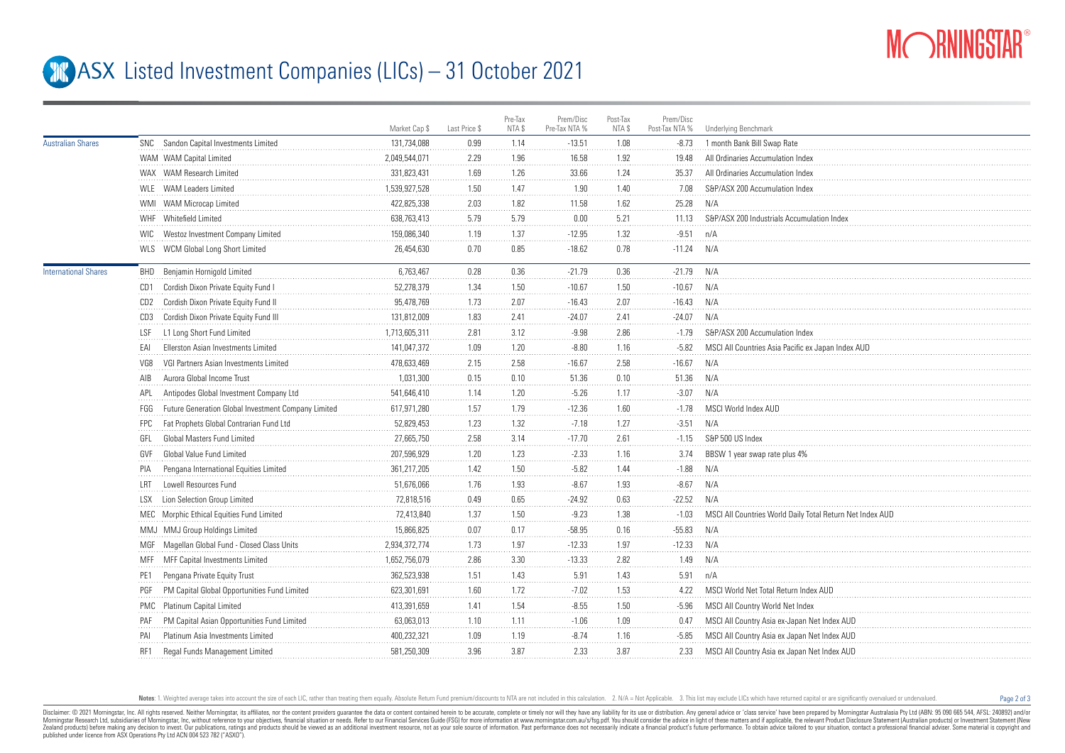

Page 2 of 3

## **ASX** Listed Investment Companies (LICs) – 31 October 2021

|                             |            |                                                     | Market Cap \$ | Last Price \$ | Pre-Tax<br>NTA \$ | Prem/Disc<br>Pre-Tax NTA % | Post-Tax<br>NTA \$ | Prem/Disc<br>Post-Tax NTA % | Underlying Benchmark                                     |
|-----------------------------|------------|-----------------------------------------------------|---------------|---------------|-------------------|----------------------------|--------------------|-----------------------------|----------------------------------------------------------|
| <b>Australian Shares</b>    |            | SNC Sandon Capital Investments Limited              | 131,734,088   | 0.99          | 1.14              | $-13.51$                   | 1.08               | $-8.73$                     | 1 month Bank Bill Swap Rate                              |
|                             |            | WAM WAM Capital Limited                             | 2,049,544,071 | 2.29          | 1.96              | 16.58                      | 1.92               | 19.48                       | All Ordinaries Accumulation Index                        |
|                             |            | WAX WAM Research Limited                            | 331.823.431   | 1.69          | 1.26              | 33.66                      | 1.24               | 35.37                       | All Ordinaries Accumulation Index                        |
|                             |            | WLE WAM Leaders Limited                             | 1.539.927.528 | 1.50          | 1.47              | 1.90                       | 1.40               | 7.08                        | S&P/ASX 200 Accumulation Index                           |
|                             |            | WMI WAM Microcap Limited                            | 422,825,338   | 2.03          | 1.82              | 11.58                      | 1.62               | 25.28                       | N/A                                                      |
|                             |            | WHF Whitefield Limited                              | 638,763,413   | 5.79          | 5.79              | 0.00                       | 5.21               | 11.13                       | S&P/ASX 200 Industrials Accumulation Index               |
|                             |            | WIC Westoz Investment Company Limited               | 159,086,340   | 1.19          | 1.37              | $-12.95$                   | 1.32               | $-9.51$                     | n/A                                                      |
|                             |            | WLS WCM Global Long Short Limited                   | 26,454,630    | 0.70          | 0.85              | $-18.62$                   | 0.78               | $-11.24$                    | N/A                                                      |
| <b>International Shares</b> |            | BHD Benjamin Hornigold Limited                      | 6,763,467     | 0.28          | 0.36              | $-21.79$                   | 0.36               | $-21.79$                    | N/A                                                      |
|                             | CD1        | Cordish Dixon Private Equity Fund I                 | 52,278,379    | 1.34          | 1.50              | $-10.67$                   | 1.50               | $-10.67$                    | N/A                                                      |
|                             |            | CD2 Cordish Dixon Private Equity Fund II            | 95,478,769    | 1.73          | 2.07              | $-16.43$                   | 2.07               | $-16.43$                    | N/A                                                      |
|                             | CD3        | Cordish Dixon Private Equity Fund III               | 131,812,009   | 1.83          | 2.41              | $-24.07$                   | 2.41               | $-24.07$                    | N/A                                                      |
|                             | LSF        | L1 Long Short Fund Limited                          | 1,713,605,311 | 2.81          | 3.12              | $-9.98$                    | 2.86               | $-1.79$                     | S&P/ASX 200 Accumulation Index                           |
|                             | EAI        | Ellerston Asian Investments Limited                 | 141,047,372   | 1.09          | 1.20              | $-8.80$                    | 1.16               | $-5.82$                     | MSCI All Countries Asia Pacific ex Japan Index AUD       |
|                             | VG8        | VGI Partners Asian Investments Limited              | 478,633,469   | 2.15          | $2.58\,$          | $-16.67$                   | 2.58               | $-16.67$                    | N/A                                                      |
|                             | AIB        | Aurora Global Income Trust                          | 1,031,300     | 0.15          | 0.10              | 51.36                      | 0.10               | 51.36                       | N/A                                                      |
|                             | APL.       | Antipodes Global Investment Company Ltd             | 541,646,410   | 1.14          | 1.20              | $-5.26$                    | 1.17               | $-3.07$                     | N/A                                                      |
|                             | FGG        | Future Generation Global Investment Company Limited | 617,971,280   | 1.57          | 1.79              | $-12.36$                   | 1.60               | $-1.78$                     | MSCI World Index AUD                                     |
|                             | <b>FPC</b> | Fat Prophets Global Contrarian Fund Ltd             | 52.829.453    | 1.23          | 1.32              | $-7.18$                    | 1.27               | $-3.51$                     | N/A                                                      |
|                             | GFL        | Global Masters Fund Limited                         | 27,665,750    | 2.58          | 3.14              | $-17.70$                   | 2.61               | $-1.15$                     | S&P 500 US Index                                         |
|                             | GVF        | Global Value Fund Limited                           | 207,596,929   | 1.20          | 1.23              | $-2.33$                    | 1.16               | 3.74                        | BBSW 1 year swap rate plus 4%                            |
|                             |            | Pengana International Equities Limited              | 361,217,205   | 1.42          | 1.50              | $-5.82$                    | 1.44               | $-1.88$                     | N/A                                                      |
|                             | I RT       | Lowell Resources Fund                               | 51,676,066    | 1.76          | 1.93              | $-8.67$                    | 1.93               | $-8.67$                     | N/A                                                      |
|                             | I SX       | Lion Selection Group Limited                        | 72,818,516    | 0.49          | 0.65              | $-24.92$                   | 0.63               | $-22.52$                    | N/A                                                      |
|                             |            | MEC Morphic Ethical Equities Fund Limited           | 72,413,840    | 1.37          | 1.50              | $-9.23$                    | 1.38               | $-1.03$                     | MSCI All Countries World Daily Total Return Net Index AU |
|                             |            | MMJ MMJ Group Holdings Limited                      | 15,866,825    | 0.07          | 0.17              | $-58.95$                   | 0.16               | $-55.83$                    | N/A                                                      |
|                             |            | MGF Magellan Global Fund - Closed Class Units       | 2.934.372.774 | 1.73          | 1.97              | $-12.33$                   | 1.97               | $-12.33$                    | N/A                                                      |
|                             |            | MFF MFF Capital Investments Limited                 | 1,652,756,079 | 2.86          | 3.30              | $-13.33$                   | 2.82               | 1.49                        | N/A                                                      |
|                             | PE1        | Pengana Private Equity Trust                        | 362,523,938   | 1.51          | 1.43              | 5.91                       | 1.43               | 5.91                        | n/A                                                      |
|                             | PGF        | PM Capital Global Opportunities Fund Limited        | 623,301,691   | 1.60          | 1.72              | $-7.02$                    | 1.53               | 4.22                        | MSCI World Net Total Return Index AUD                    |
|                             |            | PMC Platinum Capital Limited                        | 413,391,659   | 1.41          | 1.54              | $-8.55$                    | 1.50               | $-5.96$                     | MSCI All Country World Net Index                         |
|                             | PAF        | PM Capital Asian Opportunities Fund Limited         | 63,063,013    | 1.10          | 1.11              | $-1.06$                    | 1.09               | 0.47                        | MSCI All Country Asia ex-Japan Net Index AUD             |
|                             | PAI        | Platinum Asia Investments Limited                   | 400,232,321   | 1.09          | 1.19              | $-8.74$                    | 1.16               | $-5.85$                     | MSCI All Country Asia ex Japan Net Index AUD             |
|                             | RF1        | Regal Funds Management Limited                      | 581,250,309   | 3.96          | 3.87              | 2.33                       | 3.87               | 2.33                        | MSCI All Country Asia ex Japan Net Index AUD             |
|                             |            |                                                     |               |               |                   |                            |                    |                             |                                                          |

Notes: 1. Weighted average takes into account the size of each LIC, rather than treating them equally. Absolute Return Fund premium/discounts to NTA are not included in this calculation. 2. N/A = Not Applicable. 3. This li

Disclaimer: © 2021 Morninostar, Inc. All rights reseved. Neither Morninostar, its affiliates, nor the content providers quarantee the data or content consined herein to be accurate, complete or timely nor will they have an Morningstar Research Ltd, subsidiaries of Morningstar, Inc, without reference to your objectives, financial stuation or needs. Refer to our Financial Services Guide (FSG) for more information at www.morningstar.com.au/s/fs Zealand products) before making any decision to invest. Our publications, ratings and products should be viewed as an additional investment resource. not as your sole source of information. Past performance does not necess published under licence from ASX Operations Pty Ltd ACN 004 523 782 ("ASXO").